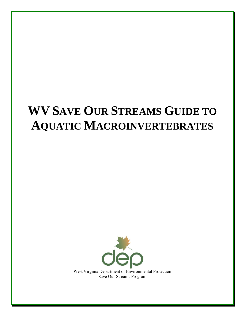# **WV SAVE OUR STREAMS GUIDE TO AQUATIC MACROINVERTEBRATES**



West Virginia Department of Environmental Protection Save Our Streams Program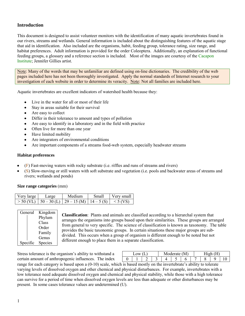# **Introduction**

This document is designed to assist volunteer monitors with the identification of man[y aquatic invertebrates](http://www.riverwatch.ab.ca/how_to_monitor/invert_info.cfm) found in our rivers, streams and wetlands. General information is included about the distinguishing features of the aquatic stage that aid in identification. Also included are the organisms, habit, feeding group, tolerance rating, size range, and habitat preferences. Adult information is provided for the order Coleoptera. Additionally, an explanation of functional feeding groups, a glossary and a reference section is included. Most of the images are courtesy of the [Cacapon](http://www.cacaponinstitute.org/Benthics/Cast_of_Characters.html)  [Institute;](http://www.cacaponinstitute.org/Benthics/Cast_of_Characters.html) Jennifer Gillies artist.

Note: Many of the words that may be unfamiliar are defined using on-line dictionaries. The [credibility](http://www.merriam-webster.com/dictionary/credibility) of the web pages included here has not been thoroughly investigated. Apply the normal standards of Internet research to your investigation of each website in order to determine its veracity. Note: Not all families are included here.

Aquatic invertebrates are excellent indicators of watershed health because they:

- Live in the water for all or most of their life  $\bullet$
- $\bullet$ Stay in areas suitable for their survival
- Are easy to collect
- Differ in their tolerance to amount and types of pollution  $\bullet$
- Are easy to identify in a laboratory and in the field with practice  $\bullet$
- $\bullet$ Often live for more than one year
- $\bullet$ Have limited mobility
- $\bullet$ Are integrators of environmental conditions
- $\bullet$ Are important components of a streams food-web system, especially headwater streams

#### **Habitat preferences**

- (F) Fast-moving waters with rocky substrate (i.e. riffles and runs of streams and rivers)
- (S) Slow-moving or still waters with soft substrate and vegetation (i.e. pools and backwater areas of streams and  $\bullet$ rivers; wetlands and ponds)

#### **Size range categories** (mm)

| Very large  | angle | Medium                               | Small | $V$ erv smalı |
|-------------|-------|--------------------------------------|-------|---------------|
| $>$ 50 (VL. |       | $50 - 30$ (L)   29 – 15 (M)   14 – 5 |       |               |

| General  | Kingdom |  |  |
|----------|---------|--|--|
|          | Phylum  |  |  |
|          | Class   |  |  |
|          | Order   |  |  |
|          | Family  |  |  |
|          | Genus   |  |  |
| Specific | Species |  |  |

**[Classification](http://faculty.fmcc.suny.edu/mcdarby/Animals&PlantsBook/History/02-Explaining-Life-Classification.htm)**: Plants and animals are classified according to a [hierarchal](http://en.wikipedia.org/wiki/Hierarchal_structure) system that arranges the organisms into groups based upon their similarities. These groups are arranged from general to very specific. The science of classification is known as [taxonomy.](http://www.riverwatch.ab.ca/how_to_monitor/invert_identifying-taxonomy.cfm) The table provides the basic taxonomic groups. In certain situations these major groups are subdivided. This occurs when a group of organism is different enough to be noted but not different enough to place them in a separate classification.

Stress [tolerance](http://www.riverwatch.ab.ca/how_to_monitor/invert_interpreting-tolerance.cfm) is the organism's ability to withstand a certain amount of [anthropogenic](http://en.wikipedia.org/wiki/Anthropogenic) influences. The index

| $\sim 0W$ |  |  | Moderate (M) |  |   |  |  |  |  |
|-----------|--|--|--------------|--|---|--|--|--|--|
|           |  |  |              |  | ັ |  |  |  |  |

range for each category is based upon a [\(0-10\)](http://lakes.chebucto.org/ZOOBENTH/BENTHOS/tolerance.html) scale, which is based mostly on the invertebrate's ability to tolerate varying levels of dissolved oxygen and other chemical and physical disturbances. For example, invertebrates with a low tolerance need adequate dissolved oxygen and chemical and physical stability, while those with a high tolerance can survive for a period of time when dissolved oxygen levels are less than adequate or other disturbances may be present. In some cases tolerance values are undetermined (U).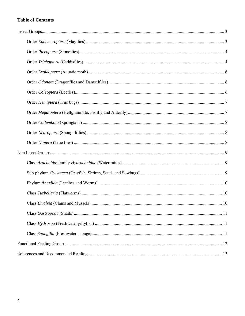# **Table of Contents**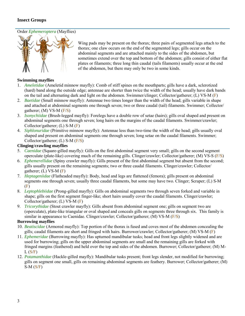# <span id="page-3-0"></span>**[Insect Groups](http://animaldiversity.ummz.umich.edu/site/accounts/information/Insecta.html)**

# <span id="page-3-1"></span>[Order](http://www.dep.wv.gov/WWE/getinvolved/sos/Pages/Ephemeroptera.aspx) *Ephemeroptera* [\(Mayflies\)](http://www.dep.wv.gov/WWE/getinvolved/sos/Pages/Ephemeroptera.aspx)



Wing pads may be present on the thorax; three pairs of segmented legs attach to the thorax; one claw occurs on the end of the segmented legs; gills occur on the abdominal segments and are attached mainly to the sides of the abdomen, but sometimes extend over the top and bottom of the abdomen; gills consist of either flat plates or [filaments;](http://www.merriam-webster.com/dictionary/filament) three long thin [caudal](http://www.merriam-webster.com/dictionary/caudal) (tails filaments) usually occur at the end of the abdomen, but there may only be two in some kinds.

# **Swimming mayflies**

- 1. *Ameletidae* (Ameletid minnow mayfly): Comb of stiff [spines](http://www.merriam-webster.com/dictionary/spines) on the mouthparts; gills have a dark, sclerotized (hard) band along the outside edge; antennae are shorter than twice the width of the head; usually have dark bands on the tail and alternating dark and light on the abdomen. Swimmer/clinger; Collector/gatherer; (L) VS-M (F)
- 2. *Baetidae* (Small minnow mayfly): Antennae two times longer than the width of the head; gills variable in shape and attached at abdominal segments one through seven; two or three caudal (tail) filaments. Swimmer; Collector/ gatherer; (M) VS-M (F/S)
- 3. *Isonychiidae* (Brush-legged mayfly): Forelegs have a double row o[f setae](http://www.merriam-webster.com/dictionary/setae) (hairs); gills oval shaped and present on abdominal segments one through seven; long hairs on the margins of the caudal filaments. Swimmer/crawler; Collector/gatherer; (L) S-M (F)
- 4. *Siphlonuridae* (Primitive minnow mayfly): Antennae less than two-time the width of the head; gills usually oval shaped and present on abdominal segments one through seven; long setae on the caudal filaments. Swimmer; Collector/gatherer; (L) S-M (F/S)

#### **Clinging**/**crawling mayflies**

- 5. *Caenidae* (Square-gilled mayfly): Gills on the first abdominal segment very small; gills on the second segment [operculate](http://www.merriam-webster.com/dictionary/operculum) (plate-like) covering much of the remaining gills. Clinger/crawler; Collector/gatherer; (M) VS-S (F/S)
- 6. *Ephemerellidae* (Spiny crawler mayfly): Gills present of the first abdominal segment but absent from the second; gills usually present on the remaining segments; two or three caudal filaments. Clinger/crawler; Collector/ gatherer;  $(L)$  VS-M $(F)$
- 7. *Heptageniidae* (Flatheaded mayfly): Body, head and legs are flattened (femora); gills present on abdominal segments one through seven; usually three caudal filaments, but some may have two. Clinger; Scraper; (L) S-M (F)
- 8. *Leptophlebiidae* (Prong-gilled mayfly): Gills on abdominal segments two through seven forked and variable in shape; gills on the first segment finger-like; short hairs usually cover the caudal filaments. Clinger/crawler; Collector/gatherer; (L) VS-M (F)
- 9. *Tricorythidae* (Stout crawler mayfly): Gills absent from abdominal segment one; gills on segment two are (operculate), plate-like triangular or oval shaped and conceals gills on segments three through six. This family is similar in appearance to Caenidae. Clinger/crawler; Collector/gatherer; (M) VS-M (F/S)

# **Burrowing mayflies**

- 10. *Beatiscidae* (Armored mayfly): Top portion of the thorax is fused and coves most of the abdomen concealing the gills; caudal filaments are short and fringed with hairs. Burrower/crawler; Collector/gatherer; (M) VS-M (F)
- 11. *Ephemeridae* (Burrowing mayfly): Has upturned [mandibular](http://www.merriam-webster.com/dictionary/mandibular) tusks; head and front legs slightly widened and are used for burrowing; gills on the upper abdominal segments are small and the remaining gills are forked with fringed margins (feathered) and held over the top and sides of the abdomen. Burrower; Collector/gatherer; (M) M- $L(S/F)$
- 12. *Potamanthidae* (Hackle-gilled mayfly): Mandibular tusks present; front legs slender, not modified for burrowing; gills on segment one small, gills on remaining abdominal segments are [feathery.](http://www.merriam-webster.com/dictionary/feathery) Burrower; Collector/gatherer; (M)  $S-M(S/F)$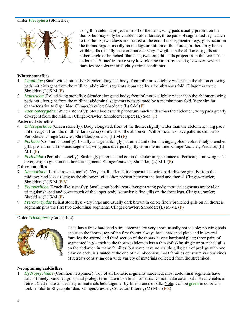#### <span id="page-4-0"></span>Order *Plecoptera* (Stoneflies)



Long thin antenna project in front of the head; wing pads usually present on the thorax but may only be visible in older larvae; three pairs of segmented legs attach to the thorax; two claws are located at the end of the segmented legs; gills occur on the thorax region, usually on the legs or bottom of the thorax, or there may be no visible gills (usually there are none or very few gills on the abdomen); gills are either single or branched filaments; two long thin tails project from the rear of the abdomen. Stoneflies have very low tolerance to many insults; however, several families are tolerant of slightly acidic conditions.

#### **Winter stoneflies**

- 1. *Capniidae* (Small winter stonefly): Slender elongated body; front of thorax slightly wider than the abdomen; wing pads not [divergent](http://www.merriam-webster.com/dictionary/divergent) from the midline; abdominal segments separated by a membranous fold. Clinger/ crawler; Shredder; (L) S-M (F)
- 2. *Leuctridae* (Rolled-wing stonefly): Slender elongated body; front of thorax slightly wider than the abdomen; wing pads not divergent from the midline; abdominal segments not separated by a [membranous](http://www.merriam-webster.com/dictionary/membranous) fold. Very similar characteristics to Capniidae. Clinger/crawler; Shredder; (L) S-M (F)
- 3. *Taeniopterygidae* (Winter stonefly): Stout bodies with pronotum much wider than the abdomen; wing pads greatly divergent from the midline. Clinger/crawler; Shredder/scraper; (L) S-M (F)

#### **Patterned stoneflies**

- 4. *Chloroperlidae* (Green stonefly): Body elongated, front of the thorax slightly wider than the abdomen; wing pads not divergent from the midline; tails (cerci) shorter than the abdomen. Will sometimes have patterns similar to Perlodidae. Clinger/crawler; Shredder/predator; (L) M (F)
- 5. *Perlidae* (Common stonefly): Usually a large strikingly patterned and often having a golden color; finely branched gills present on all thoracic segments; wing pads diverge slightly from the midline. Clinger/crawler; Predator; (L)  $M-L(F)$
- 6. *Perlodidae* (Perlodid stonefly): Strikingly patterned and colored similar in appearance to [Perlidae;](http://www.stroudcenter.org/schuylkill/taxa/taxon52.htm) hind wing pads divergent; no gills on the thoracic segments. Clinger/crawler; Shredder; (L) M-L (F)

#### **Other stoneflies**

- 7. *Nemouridae* (Little brown stonefly): Very small, often hairy appearance; wing pads diverge greatly from the midline; hind legs as long as the abdomen; gills often present between the head and thorax. Clinger/crawler; Shredder; (L) S-M (F/S)
- 8. *Peltoperlidae* (Roach-like stonefly): Small stout body; rear divergent wing pads; thoracic segments are oval or triangular shaped and cover much of the upper body; some have fine gills on the front legs. Clinger/crawler; Shredder; (L) S-M (F)
- 9. *Pteronarcyidae* (Giant stonefly): Very large and usually dark brown in color; finely branched gills on all thoracic segments plus the first two abdominal segments. Clinger/crawler; Shredder; (L) M-VL (F)

#### <span id="page-4-1"></span>Order *Trichoptera* (Caddisflies)



Head has a thick hardened skin; antennae are very short, usually not visible; no wing pads occur on the thorax; top of the first thorax always has a hardened plate and in several families the second and third section of the thorax have a hardened plate; three pairs of segmented legs attach to the thorax; abdomen has a thin soft skin; single or branched gills on the abdomen in many families, but some have no visible gills; pair of prolegs with one claw on each, is situated at the end of the abdomen; most families construct various kinds of retreats consisting of a wide variety of materials collected from the streambed.

#### **Net**-**spinning caddisflies**

1. *Hydropsychidae* (Common netspinner): Top of all thoracic segments hardened; most abdominal segments have tufts of finely branched gills; anal prolegs terminate into a brush of hairs. Do not make cases but instead creates a retreat (net) made of a variety of materials held together by fine strands of silk. Note: Can be [green](http://www.troutnut.com/im_regspec/picture_1342_large.jpg) in color and look similar to [Rhyacophilidae.](http://www.troutnut.com/im_regspec/picture_2816_large.jpg) Clinger/crawler; Collector/ filterer; (M) M-L (F/S)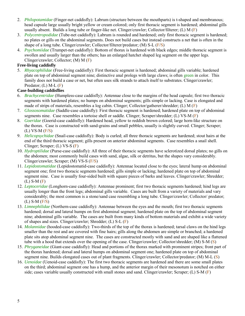- 2. *Philopotamidae* (Finger-net caddisfly): Labrum (structure between the mouthparts) is t-shaped and membranous; head capsule large usuall[y bright yellow](http://www.troutnut.com/specimen/648) or cream colored; only first thoracic segment is hardened; abdominal gills usually absent. Builds a long tube or finger-like net. Clinger/crawler; Collector/filterer; (L) M (F)
- 3. *Polycentropodidae* (Tube-net caddisfly): Labrum is rounded and hardened; only first thoracic segment is hardened; no plates or gills on the abdominal segments. Does not build cases but instead constructs a net that is often in the shape of a long tube. Clinger/crawler; Collector/filterer/predator; (M) S-L (F/S)
- 4. *Psychomiidae* (Trumpet-net caddisfly): Bottom of thorax is hardened with black edges; middle thoracic segment is swollen and usually larger than the others; has an enlarged hatchet shaped leg segment on the upper legs. Clinger/crawler; Collector; (M) M (F)

# **Free**-**living caddisfly**

5. *Rhyacophilidae* (Free-living caddisfly): First thoracic segment is hardened; abdominal gills variable; hardened plate on top of abdominal segment nine; distinctive anal prolegs with large claws; is often green in color. This family does not build a case or net, but often uses silk strands to attach itself to substrates. Clinger/crawler; Predator; (L) M-L (F)

# **Case**-**building caddisflies**

- 6. *[Brachycentridae](http://www.epa.gov/bioindicators/html/caddisflies_brachycentridae.html)* (Humpless-case caddisfly): Antennae close to the margins of the head capsule; first two thoracic segments with hardened plates; no humps on abdominal segments; gills simple or lacking. Case is elongated and made of strips of materials, resembles a log cabin. Clinger; Collector/gatherer/shredder; (L) M (F)
- 7. *Glossosomatidae* (Saddle-case caddisfly): First thoracic segment is hardened; hardened plate on top of abdominal segments nine. Case resembles a tortoise shell or saddle. Clinger; Scraper/shredder; (L) VS-M (F)
- 8. *Goeridae* (Goerid-case caddisfly): Hardened head, yellow to reddish brown colored; large horn-like structure on the thorax. Case is constructed with sand-grains and small pebbles, usually is slightly curved. Clinger; Scraper; (L) VS-M (F/S)
- 9. *Helicopsychidae* (Snail-case caddisfly): Body is curled; all three thoracic segments are hardened; stout hairs at the end of the third thoracic segment; gills present on anterior abdominal segments. Case resembles a snail shell. Clinger; Scraper; (L) VS-S (F)
- 10. *Hydroptilidae* (Purse-case caddisfly): All three of their thoracic segments have sclerotized dorsal plates; no gills on the abdomen; most commonly build cases with sand, algae, silk or detritus, but the shapes vary considerably. Clinger/crawler; Scraper; (M) VS-S (F/S)
- 11. *Lepidostomatidae* (Lepidostomatid-case caddisfly): Antennae located close to the eyes; lateral hump on abdominal segment one; first two thoracic segments hardened; gills simple or lacking; hardened plate on top of abdominal segment nine. Case is usually four-sided built with square pieces of barks and leaves. Clinger/crawler; Shredder; (L) S-M (F)
- 12. *Leptoceridae* (Longhorn-case caddisfly): Antennae prominent; first two thoracic segments hardened; hind legs are usually longer than the front legs; abdominal gills variable. Cases are built from a variety of materials and vary considerably; the most common is a stone/sand case resembling a long tube. Clinger/crawler; Collector/ predator; (L) S-M (F/S)
- 13. *Limnephilidae* (Northern-case caddisfly): Antennae between the eyes and the mouth; first two thoracic segments hardened; dorsal and lateral humps on first abdominal segment; hardened plate on the top of abdominal segment nine; abdominal gills variable. The cases are built from many kinds of bottom materials and exhibit a wide variety of shapes and sizes. Clinger/crawler; Shredder; (L) S-L (F)
- 14. *Molannidae* (hooded-case caddisfly): Two-thirds of the top of the thorax is hardened; tarsal claws on the hind legs smaller than the rest and are covered with fine hairs; gills along the abdomen are simple or branched; a hardened plate sits atop abdominal segment nine. The cases are constructed mostly with sand and are shaped like a flattened tube with a hood that extends over the opening of the case. Clinger/crawler; Collector/shredder; (M) S-M (S)
- 15. *Phryganeidae* (Giant-case caddisfly): Head and portions of the thorax marked with prominent stripes; front part of the thorax hardened; dorsal and lateral humps on abdominal segment one; hardened plate on top of abdominal segment nine. Builds elongated cases out of plant fragments. Clinger/crawler; Collector/predator; (M) M-L (S)
- 16. *Uenoidae* (Uenoid-case caddisfly): The first two thoracic segments are hardened and there are some small plates on the third; abdominal segment one has a hump, and the anterior margin of their mesonotum is notched on either side; cases variable usually constructed with small stones and sand. Clinger/crawler; Scraper; (L) S-M (F)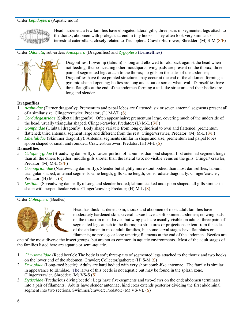#### <span id="page-6-0"></span>Order *Lepidoptera* (Aquatic moth)



Head hardened; a few families have elongated lateral gills; three pairs of segmented legs attach to the thorax; abdomen with prolegs that end in tiny hooks. They often look very similar to terrestrial caterpillars; closely related to Trichoptera. Crawler/burrower; Shredder; (M) S-M (S/F)

#### <span id="page-6-1"></span>Order *Odonata*; sub-orders *Anisoptera* (Dragonflies) and *Zygoptera* (Damselflies)



Dragonflies: Lower lip (labium) is long and elbowed to fold back against the head when not feeding, thus concealing other mouthparts; wing pads are present on the thorax; three pairs of segmented legs attach to the thorax; no gills on the sides of the abdomen; Dragonflies have three pointed structures may occur at the end of the abdomen forming a pyramid shaped opening; bodies are long and stout or some- what oval. Damselflies have three flat gills at the end of the abdomen forming a tail-like structure and their bodies are long and slender.

#### **Dragonflies**

- 1. *Aeshnidae* (Darner dragonfly): Prementum and papal lobes are flattened; six or seven antennal segments present all of a similar size. Clinger/crawler; Predator; (L) M-VL (S)
- 2. *Cordulegastridae* (Spiketail dragonfly): Often appear hairy; prementum large, covering much of the underside of the head, usually triangular shaped. Clinger/crawler; Predator; (L) M-L (S/F)
- 3. *Gomphidae* (Clubtail dragonfly): Body shape variable from long cylindrical to oval and flattened; prementum flattened; third antennal segment large and different from the rest. Clinger/crawler; Predator; (M) M-L (S/F)
- 4. *Libellulidae* (Skimmer dragonfly): Antennal segments similar in shape and size; prementum and palpal lobes spoon shaped or small and rounded. Crawler/burrower; Predator; (H) M-L (S)

#### **Damselflies**

- 5. *Calopterygidae* (Broadwing damselfly): Lower portion of labium is diamond shaped; first antennal segment longer than all the others together; middle gills shorter than the lateral two; no visible veins on the gills. Clinger/ crawler; Predator; (M) M-L  $(S/F)$
- 6. *Coenagrionidae* (Narrowwing damselfly): Slender but slightly more stout bodied than most damselflies; labium triangular shaped; antennal segments same length; gills same length, veins radiate diagonally. Clinger/crawler; Predator;  $(H)$  M-L $(S)$
- 7. *Lestidae* (Spreadwing damselfly): Long and slender bodied; labium stalked and spoon shaped; all gills similar in shape with perpendicular veins. Clinger/crawler; Predator; (H) M-L (S)

# <span id="page-6-2"></span>Order *Coleoptera* (Beetles)



Head has thick hardened skin; thorax and abdomen of most adult families have moderately hardened skin, several larvae have a soft-skinned abdomen; no wing pads on the thorax in most larvae, but wing pads are usually visible on adults; three pairs of segmented legs attach to the thorax; no structures or projections extent from the sides of the abdomen in most adult families, but some larval stages have flat plates or filaments; no prolegs or long tapering filaments at the end of the abdomen. Beetles are

one of the most diverse the insect groups, but are not as common in aquatic environments. Most of the adult stages of the families listed here are aquatic or semi-aquatic.

- 1. *Chrysomelidae* (Reed beetle): The body is soft; three-pairs of segmented legs attached to the thorax and two hooks on the lower end of the abdomen. Crawler; Collector/gatherer; (H) S-M (S)
- 2. *Dryopidae* (Long-toed beetle): Adults are hard bodied with very short comb-like antennae. The family is similar in appearance to Elmidae. The larva of this beetle is not aquatic but may be found in the splash zone. Clinger/crawler, Shredder; (M) VS-S (S)
- 3. *Dytiscidae* (Predacious diving beetle): Legs have five-segments and two-claws on the end; abdomen terminates into a pair of filaments. Adults have slender antennae; hind coxa extends posterior dividing the first abdominal segment into two sections. Swimmer/crawler; Predator; (M) VS-VL (S)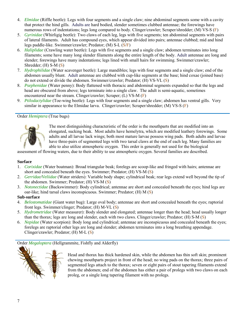- 4. *Elmidae* (Riffle beetle): Legs with four segments and a single claw; nine abdominal segments some with a cavity that protect the hind gills. Adults are hard bodied, slender sometimes clubbed antennae; the forewings have numerous rows of indentations; legs long compared to body. Clinger/crawler; Scraper/shredder; (M) VS-S (F)
- 5. *Gyrinidae* (Whirligig beetle): Two claws of each leg, legs with five segments; ten abdominal segments with pairs of lateral filaments. Adult has compound eyes, which appear divided into pairs; antennae clubbed; mid and hind legs paddle-like. Swimmer/crawler; Predator; (M) S-L (S/F)
- 6. *Haliplidae* (Crawling water beetle): Legs with five segments and a single claw; abdomen terminates into long filaments; some have many long slender filaments along the entire length of the body. Adult antennae are long and slender; forewings have many indentations; legs lined with small hairs for swimming. Swimmer/crawler; Shredder; (H) S-M (S)
- 7. *Hydrophilidae* (Water scavenger beetle): Large mandibles; legs with four segments and a single claw; end of the abdomen usually blunt. Adult antennae are clubbed with cup-like segments at the base; hind coxae (joined base) do not extend or divide the abdomen. Swimmer/crawler; Predator; (H) VS-VL (S)
- 8. *Psephenidae* (Water penny): Body flattened with thoracic and abdominal segments expanded so that the legs and head are obscured from above; legs terminate into a single claw. The [adult](http://www.dfg.ca.gov/ABL/images2/psephenidae_habitus_new.png) is semi-aquatic, sometimes encountered near the stream. Clinger/crawler; Scraper; (L) VS-M (F)
- 9. *Ptilodactylidae* (Toe-wing beetle): Legs with four segments and a single claw; abdomen has ventral gills. Very similar in appearance to the Elmidae larva. Clinger/crawler; Scraper/shredder; (M) VS-S (F)

# <span id="page-7-0"></span>Order *Hemiptera* (True bugs)



The most distinguishing characteristic of the order is the mouthparts that are modified into an elongated, sucking beak. Most adults have hemelytra, which are modified leathery forewings. Some adults and all larvae lack wings; both most mature larvae possess wing pads. Both adults and larvae have three-pairs of segmented legs with two tarsal claws at the end of each leg. Many families are able to also utilize atmospheric oxygen. This order is generally not used for the biological

assessment of flowing waters, due to their ability to use atmospheric oxygen. Several families are described.

#### **Surface**

- 1. *Corixidae* (Water boatman): Broad triangular beak; forelegs are scoop-like and fringed with hairs; antennae are short and concealed beneath the eyes. Swimmer; Predator; (H) VS-M (S)
- 2. *Gerridae/Veliidae* (Water striders): Variable body shape; cylindrical beak; rear legs extend well beyond the tip of the abdomen. Swimmer; Predator; (H) VS-M (S)
- 3. *Notonectidae* (Backswimmer): Body cylindrical; antennae are short and concealed beneath the eyes; hind legs are oar-like; hind tarsal claws inconspicuous. Swimmer; Predator; (H) M (S)

#### **Sub**-**surface**

- 4. *Belostomatidae* (Giant water bug): Large oval body; antennae are short and concealed beneath the eyes; raptorial front legs. Swimmer/clinger; Predator; (H) M-VL (S)
- 5. *Hydrometridae* (Water measurer): Body slender and elongated; antennae longer than the head; head usually longer than the thorax; legs are long and slender, each with two claws. Clinger/crawler; Predator; (H) S-M (S)
- 6. *Nepidae* (Water scorpion): Body long and cylindrical; antennae are inconspicuous and concealed beneath the eyes; forelegs are raptorial other legs are long and slender; abdomen terminates into a long breathing appendage. Clinger/crawler; Predator; (H) M-L (S)

<span id="page-7-1"></span>[Order](http://www.dep.wv.gov/WWE/getinvolved/sos/Pages/Megaloptera.aspx) *Megaloptera* [\(Hellgr](http://www.dep.wv.gov/WWE/getinvolved/sos/Pages/Megaloptera.aspx)ammite, Fishfly and Alderfly)



Head and thorax has thick hardened skin, while the abdomen has thin soft skin; prominent chewing mouthparts project in front of the head; no wing pads on the thorax; three pairs of segmented legs attach to the thorax; seven or eight pairs of stout tapering filaments extend from the abdomen; end of the abdomen has either a pair of prolegs with two claws on each proleg, or a single long tapering filament with no [prolegs.](http://www.merriam-webster.com/dictionary/prolegs)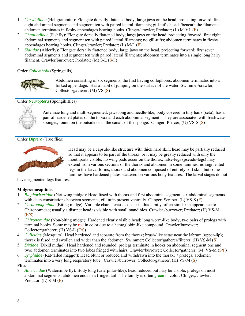- 1. *Corydalidae* (Hellgrammite): Elongate dorsally flattened body; large jaws on the head, projecting forward; first eight abdominal segments and segment ten with paired lateral filaments; gill-tufts beside/beneath the filaments; abdomen terminates in fleshy appendages bearing hooks. Clinger/crawler; Predator; (L) M-VL (F)
- 2. *[Chauliodinae](http://www.troutnut.com/specimen/367)* (Fishfly): Elongate dorsally flattened body; large jaws on the head, projecting forward; first eight abdominal segments and segment ten with paired lateral filaments; no gill-tufts; abdomen terminates in fleshy appendages bearing hooks. Clinger/crawler; Predator; (L) M-L (F)
- 3. *Sialidae* (Alderfly): Elongate dorsally flattened body; large jaws on the head, projecting forward; first seven abdominal segments and segment ten with paired lateral filaments; abdomen terminates into a single long hairy filament. Crawler/burrower; Predator; (M) S-L (S/F)

## <span id="page-8-0"></span>Order *Collembola* (Springtails)



Abdomen consisting of six segments, the first having collophores; abdomen terminates into a forked appendage. Has a habit of jumping on the surface of the water. Swimmer/crawler; Collector/gatherer; (M) VS (S)

# <span id="page-8-1"></span>Order *Neuroptera* (Spongilliflies)



Antennae long and multi-segmented; jaws long and needle-like; body covered in tiny hairs (seta); has a pair of hardened plates on the thorax and each abdominal segment. They are associated with freshwater sponges, found on the outside or in the canals of the sponge. Clinger; Piercer; (U) VS-S (S)

# <span id="page-8-2"></span>Order *Diptera* (True flies)



Head may be a capsule-like structure with thick hard skin; head may be partially reduced so that it appears to be part of the thorax, or it may be greatly reduced with only the mouthparts visible; no wing pads occur on the thorax; false-legs (pseudo-legs) may extend from various sections of the thorax and abdomen in some families; no segmented legs in the larval forms; thorax and abdomen composed of entirely soft skin, but some families have hardened plates scattered on various body features. The larval stages do not

have segmented legs features.

# **Midges**/**mosquitoes**

- 1. *Blephariceridae* (Net-wing midge): Head fused with thorax and first abdominal segment; six abdominal segments with deep constrictions between segments; gill tufts present ventrally. Clinger; Scraper; (L) VS-S (F)
- 2. *[Ceratopogonidae](http://www.entomology.umn.edu/midge/VSMIVP%20Key/English/Ceratopogonidae.htm)* (Biting midge): Variable characteristics occur in this family, often similar in appearance to Chironomidae; usually a distinct head is visible with small mandibles. Crawler,/burrower; Predator; (H) VS-M (F/S)
- 3. *Chironomidae* (Non-biting midge): Hardened clearly visible head; long worm-like body; two pairs of prolegs with terminal hooks. Some may be [red](http://www.stroudcenter.org/schuylkill/taxa/taxon10.htm) in color due to a hemoglobin-like compound. Crawler/burrower; Collector/gatherer; (H) VS-L (F/S)
- 4. *Culicidae* (Mosquito): Head hardened and separate from the thorax; brush-like setae near the labrum (upper-lip); thorax is fused and swollen and wider than the abdomen. Swimmer; Collector/gatherer/filterer; (H) VS-M (S)
- 5. *Dixidae* (Dixid midge): Head hardened and rounded; prolegs terminate in hooks on abdominal segment one and two; abdomen terminates into two lobes fringed with hairs. Crawler/burrower; Collector/gatherer; (M) VS-M (S/F)
- 6. *Syrphidae* (Rat-tailed maggot): Head blunt or reduced and withdrawn into the thorax; 7 prolegs; abdomen terminates into a very long respiratory tube. Crawler/burrower; Collector/gatherer; (H) VS-M (S)

#### **Flies**

7. *Athericidae* (Watersnipe fly): Body long (caterpillar-like); head reduced but may be visible; prolegs on most abdominal segments; abdomen ends in a fringed tail. The family is ofte[n green](http://www.troutnut.com/im_regspec/picture_1358_medium.jpg) in color. Clinger,/crawler; Predator;  $(L)$  S-M $(F)$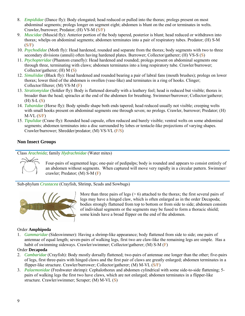- 8. *Empididae* (Dance fly): Body elongated; head reduced or pulled into the thorax; prolegs present on most abdominal segments; prolegs longer on segment eight; abdomen is blunt on the end or terminates in welts. Crawler,/burrower; Predator; (H) VS-M (S/F)
- 9. *Muscidae* (Muscid fly): Anterior portion of the body tapered, posterior is blunt; head reduced or withdrawn into thorax; whelps on abdominal segments; abdomen terminates into a pair of respiratory tubes. Predator; (H) S-M  $(S/F)$
- 10. *Psychodidae* (Moth fly): Head hardened, rounded and separate from the thorax; body segments with two to three secondary divisions (annuli) often having hardened plates. Burrower; Collector/gatherer; (H) VS-S (S)
- 11. *Ptychopteridae* (Phantom cranefly): Head hardened and rounded; prolegs present on abdominal segments one through three, terminating with claws; abdomen terminates into a long respiratory tube. Crawler/burrower; Collector/gatherer; (H) M (S)
- 12. *Simuliidae* (Black fly): Head hardened and rounded bearing a pair of labral fans (mouth brushes); prolegs on lower thorax; lower third of the abdomen is swollen (vase-like) and terminates in a ring of hooks. Clinger; Collector/filterer; (M) VS-M (F)
- 13. *Stratiomyidae* (Soldier fly): Body is flattened dorsally with a leathery feel; head is reduced but visible; thorax is broader than the head; spiracles at the end of the abdomen for breathing. Swimmer/burrower; Collector/gatherer;  $(H)$  S-L $(S)$
- 14. *Tabanidae* (Horse fly): Body spindle shape both ends tapered; head reduced usually not visible; creeping welts with small hooks present on abdominal segments one through seven; no prolegs. Crawler, burrower; Predator; (H)  $M-VL(S/F)$
- 15. *Tipulidae* (Crane fly): Rounded head capsule, often reduced and barely visible; ventral welts on some abdominal segments; abdomen terminates into a disc surrounded by lobes or tentacle-like projections of varying shapes. Crawler/burrower; Shredder/predator; (M) VS-VL (F/S)

# <span id="page-9-0"></span>**Non Insect Groups**

<span id="page-9-1"></span>Class *Arachnida*; family *Hydrachnidae* (Water mites)



Four-pairs of segmented legs; one-pair of pedipalps; body is rounded and appears to consist entirely of an abdomen without segments. When captured will move very rapidly in a circular pattern. Swimmer/ crawler; Predator; (M) S-M (F)

<span id="page-9-2"></span>Sub-phylum *Crustacea* (Crayfish, Shrimp, Scuds and Sowbugs)



More than three pairs of legs ( $> 6$ ) attached to the thorax; the first several pairs of legs may have a hinged claw, which is often enlarged as in the order [Decapoda;](http://animaldiversity.ummz.umich.edu/site/accounts/classification/Decapoda.html) bodies strongly flattened from top to bottom or from side to side; abdomen consists of individual segments or the segments may be fused to form a thoracic shield; some kinds have a broad flipper on the end of the abdomen.

# Order **Amphipoda**

1. *Gammaridae* (Sideswimmer): Having a shrimp-like appearance; body flattened from side to side; one pairs of antennae of equal length; seven-pairs of walking legs, first two are claw-like the remaining legs are simple. Has a habit of swimming sideways. Crawler/swimmer; Collector/gatherer; (M) S-M (F)

# Order **Decapoda**

- 2. *Cambaridae* (Crayfish): Body mostly dorsally flattened; two-pairs of antennae one longer than the other; five-pairs of legs, first three-pairs with hinged claws and the first pair of claws are greatly enlarged; abdomen terminates in a flipper-like structure. Crawler/burrower; Collector/gatherer; (M) M-VL (S/F)
- 3. *Palaemonidae* (Freshwater shrimp): Cephalothorax and abdomen cylindrical with some side-to-side flattening; 5 pairs of walking legs the first two have claws, which are not enlarged; abdomen terminates in a flipper-like structure. Crawler/swimmer; Scraper; (M) M-VL (S)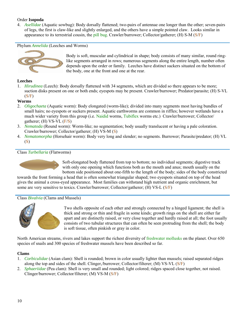# Order **Isopoda**

4. *Asellidae* (Aquatic sowbug): Body dorsally flattened; two-pairs of antennae one longer than the other; seven-pairs of legs, the first is claw-like and slightly enlarged, and the others have a simple pointed claw. Looks similar in appearance to its terrestrial cousin, the [pill bug.](http://www.uky.edu/Ag/CritterFiles/casefile/relatives/sowbugs/sowbug.htm#sowbug) Crawler/burrower; Collector/gatherer; (H) S-M (S/F)

<span id="page-10-0"></span>Phylum *Annelida* (Leeches and Worms)



[B](http://www.dep.wv.gov/WWE/getinvolved/sos/Pages/Annelida.aspx)ody is soft, muscular and cylindrical in shape; body consists of many similar, round ringlike segments arranged in rows; numerous segments along the entire length, number often depends upon the order or family. Leeches have distinct suckers situated on the bottom of the body, one at the front and one at the rear.

# **Leeches**

1. *Hirudinea* (Leech): Body dorsally flattened with 34 segments, which are divided so there appears to be more; suction disks present on one or both ends; eyespots may be present. Crawler/burrower; Predator/parasite; (H) S-VL  $(S/F)$ 

# **Worms**

- 2. *Oligochaeta* (Aquatic worm): Body elongated (worm-like); divided into many segments most having bundles of small hairs; no eyespots or suckers present. Aquatic earthworms are common in riffles; however wetlands have a much wider variety from this group (i.e. [Naidid](http://www.townoflakelure.com/images/Naidid_Worm.bmp) worms, [Tubiflex](http://en.wikipedia.org/wiki/Tubifex_tubifex) worms etc.) Crawler/burrower; Collector/ gatherer;  $(H)$  VS-VL  $(F/S)$
- 3. *Nematoda* (Round worm): Worm-like; no segmentation; body usually translucent or having a pale coloration. Crawler/burrower; Collector/gatherer; (H) VS-M (S)
- 4. *Nematomorpha* (Horsehair worm): Body very long and slender; no segments. Burrower; Parasite/predator; (H) VL (S)

# <span id="page-10-1"></span>Class *Turbellaria* (Flatworms)



Soft-elongated body flattened from top to bottom; no individual segments; digestive track with only one opening which functions both as the mouth and anus; mouth usually on the bottom side positioned about one-fifth to the length of the body; sides of the body constricted

towards the front forming a head that is often somewhat triangular shaped; two eyespots situated on top of the head gives the animal a cross-eyed appearance. Most families can withstand high nutrient and organic enrichment, but some are very sensitive to toxics. Crawler/burrower; Collector/gatherer; (H) VS-L (S/F)

# <span id="page-10-2"></span>Class *Bivalvia* (Clams and Mussels)



Two shells opposite of each other and strongly connected by a hinged ligament; the shell is thick and strong or thin and fragile in some kinds; growth rings on the shell are either far apart and are distinctly raised, or very close together and hardly raised at all; the foot usually consists of two tubular structures that can often be seen protruding from the shell; the body is soft tissue, often pinkish or gray in color.

North American streams, rivers and lakes support the richest diversity of [freshwater mollusks](http://molluskconservation.org/) on the planet. Over 650 species of snails and 300 species of freshwater mussels have been described so far.

# **Clams**

- 1. *Corbiculidae* (Asian clam): Shell is rounded; brown in color usually lighter than mussels; raised separated ridges along the top and sides of the shell. Clinger,/burrower; Collector/filterer; (M) VS-VL (S/F)
- 2. *Sphaeriidae* (Pea clam): Shell is very small and rounded; light colored; ridges spaced close together, not raised. Clinger/burrower; Collector/filterer; (M) VS-M (S/F)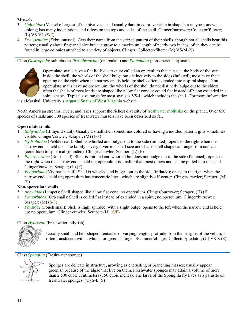# **Mussels**

- 3. *Unionidae* (Mussel): Largest of the bivalves; shell usually dark in color, variable in shape but maybe somewhat oblong; has many indentations and ridges on the tops and sides of the shell. Clinger/burrower; Collector/filterer; (L) VS-VL (S/F)
- 4. *Dreissenidae* [\(Zebra mussel\)](http://en.wikipedia.org/wiki/Invasive_species): Gets their name from the striped pattern of their shells, though not all shells bear this pattern; usually about fingernail size but can grow to a maximum length of nearly two inches; often they can be found in large colonies attached to a variety of objects. Clinger; Collector/filterer (M) VS-M (S)

<span id="page-11-0"></span>Class *Gastropoda*; sub-classes *Prosobranchia* (operculate) and *Pulmonata* (non-operculate) snails



Operculate snails have a flat lid-like structure called an operculum that can seal the body of the snail inside the shell; the whorls of the shell bulge out distinctively to the sides (inflated); most have their opening on the right when the narrow end is held up; shells often extended into a spiral shape. Nonoperculate snails have no operculum; the whorls of the shell do not distinctly bulge out to the sides; often the shells of most kinds are shaped like a low flat cone or coiled flat instead of being extended in a spiral shape. Typical size range for most snails is VS-L, which includes the shell. For more information

visit Marshall University's [Aquatic Snails of West Virginia](http://www.science.marshall.edu/jonest/Snails/freshwater_aquatic_snails_main.htm) website.

North American streams, rivers, and lakes support the richest diversity of [freshwater mollusks](http://molluskconservation.org/) on the planet. Over 650 species of snails and 300 species of freshwater mussels have been described so far.

# **Operculate snails**

- 1. *Bithyniidae* (Bithynid snail): Usually a small shell sometimes colored or having a mottled pattern; gills sometimes visible. Clinger/crawler; Scraper; (M) (F/S)
- 2. *Hydrobiidae* (Pebble snail): Shell is whorled and bulges out to the side (inflated); opens to the right when the narrow end is held up. The family is very diverse in shell size and shape; shell shape can range from conical (cone-like) to spherical (rounded). Clinger/crawler; Scraper;  $(L)$  (F)
- 3. *Pleuroceridae* (Rock snail): Shell is spiraled and whorled but does not budge out to the side (flattened); opens to the right when the narrow end is held up; operculum is smaller than most others and can be pulled into the shell. Clinger/crawler; Scraper; (L) (F)
- 4. *Viviparidae* (Viviparid snail): Shell is whorled and bulges out to the side (inflated); opens to the right when the narrow end is held up; operculum has concentric lines, which are slightly off-center. Clinger/crawler; Scraper; (M) (S)

# **Non**-**operculate snails**

- 5. *Ancylidae* (Limpet): Shell shaped like a low flat cone; no operculum. Clinger/burrower; Scraper; (H) (F)
- 6. *Planorbidae* (Orb snail): Shell is coiled flat instead of extended in a spiral; no operculum. Clinger/burrower; Scraper; (M) (S/F)
- 7. *Physidae* (Pouch snail): Shell is high, spiraled, with a slight bulge; opens to the left when the narrow end is held up; no operculum. Clinger/crawler; Scraper; (H) (S/F)

# <span id="page-11-1"></span>Class *Hydrozoa* (Freshwater jellyfish)



Usually small and bell-shaped; tentacles of varying lengths protrude from the margins of the velum; is often translucent with a whitish or greenish tinge. Swimmer/clinger; Collector/predator; (U) VS-S (S)

<span id="page-11-2"></span>Class *Spongilla* (Freshwater sponge)

Sponges are delicate in structure, growing as encrusting or branching masses; usually appear greenish because of the algae that live on them. Freshwater sponges may attain a volume of more than 2,500 cubic centimeters (150 cubic inches). The larva of the [Spongilla](http://lakes.chebucto.org/ZOOBENTH/BENTHOS/xi.html) fly lives as a parasite on freshwater sponges. (U) S-L (S)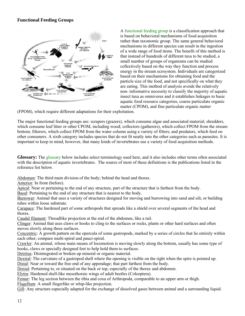# <span id="page-12-0"></span>**Functional Feeding Groups**



A [functional feeding group](http://www.riverwatch.ab.ca/how_to_monitor/invert_info-groups.cfm) is a classification approach that is based on behavioral mechanisms of food acquisition rather than taxonomic group. The same general behavioral mechanisms in different species can result in the ingestion of a wide range of food items. The benefit of this method is that instead of hundreds of different taxa to be studied, a small number of groups of organisms can be studied collectively based on the way they function and process energy in the stream ecosystem. Individuals are categorized based on their mechanisms for obtaining food and the particle size of the food, and not specifically on what they are eating. This method of analysis avoids the relatively non- informative necessity to classify the majority of aquatic insect taxa as omnivores and it establishes linkages to basic aquatic food resource categories, coarse particulate organic matter (CPOM), and fine particulate organic matter

(FPOM), which require different adaptations for their exploitation.

The major functional feeding groups are: [scrapers](http://www.epa.gov/bioindicators/html/invertclass.html) (grazers), which consume algae and associated material; shredders, which consume leaf litter or other CPOM, including wood; [collectors](http://www.epa.gov/bioindicators/html/invertclass.html) (gatherers), which collect FPOM from the stream bottom; [filterers,](http://www.epa.gov/bioindicators/html/invertclass.html) which collect FPOM from the water column using a variety of filters; and [predators,](http://www.epa.gov/bioindicators/html/invertclass.html) which feed on other consumers. A sixth category includes species that do not fit neatly into the other categories such as parasites. It is important to keep in mind, however, that many kinds of invertebrates use a variety of food acquisition methods.

**[Glossary:](http://www.waterbugkey.vcsu.edu/php/glossary.php)** The [glossary](http://www.dep.wv.gov/WWE/getinvolved/sos/Pages/Glossary.aspx) below includes select terminology used here, and it also includes other terms often associated with the description of aquatic invertebrates. The source of most of these definitions is the publications listed in the reference list below.

Abdomen: The third main division of the body; behind the head and thorax.

Anterior: In front (before).

Apical: Near or pertaining to the end of any structure, part of the structure that is farthest from the body.

Basal: Pertaining to the end of any structure that is nearest to the body.

Burrower: Animal that uses a variety of structures designed for moving and burrowing into sand and silt, or building tubes within loose substrate.

Carapace: The hardened part of some arthropods that spreads like a shield over several segments of the head and thorax.

Caudal filament: Threadlike projection at the end of the abdomen, like a tail.

Clinger: Animal that uses claws or hooks to cling to the surfaces or rocks, plants or other hard surfaces and often moves slowly along these surfaces.

Concentric: A growth pattern on the opercula of some gastropods, marked by a series of circles that lie entirely within each other; compare multi-spiral and pauci-spiral.

Crawler: An animal, whose main means of locomotion is moving slowly along the bottom, usually has some type of hooks, claws or specially designed feet to help hold them to surfaces.

Detritus: Disintegrated or broken up mineral or organic material.

Dextral: The curvature of a gastropod shell where the opening is visible on the right when the spire is pointed up.

Distal: Near or toward the free end of any appendage; that part farthest from the body.

Dorsal: Pertaining to, or situated on the back or top, especially of the thorax and abdomen.

Elytra: Hardened shell-like mesothoraic wings of adult beetles (Coleoptera).

Femur: The leg section between the tibia and coxa of Arthropoda, comparable to an upper arm or thigh.

Flagellum: A small fingerlike or whip-like projection.

Gill: Any structure especially adapted for the exchange of dissolved gases between animal and a surrounding liquid.